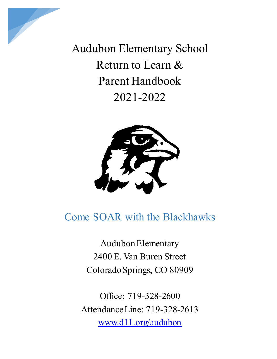

Audubon Elementary School Return to Learn & Parent Handbook 2021-2022



# Come SOAR with the Blackhawks

Audubon Elementary 2400 E. Van Buren Street Colorado Springs, CO 80909

Office: 719-328-2600 Attendance Line: 719-328-2613 [www.d11.org/audubon](http://www.d11.org/audubon)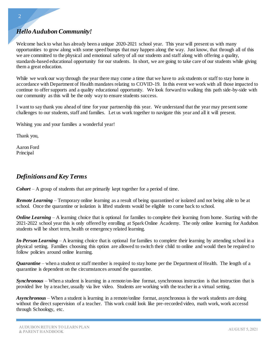## *Hello Audubon Community!*

Welcome back to what has already been a unique 2020-2021 school year. This year will present us with many opportunities to grow along with some speed bumps that may happen along the way. Just know, that through all of this we are committed to the physical and emotional safety of all our students and staff along with offering a quality, standards-based educational opportunity for our students. In short, we are going to take care of our students while giving them a great education.

While we work our way through the year there may come a time that we have to ask students or staff to stay home in accordance with Department of Health mandates relating to COVID-19. In this event we work with all those impacted to continue to offer supports and a quality educational opportunity. We look forward to walking this path side-by-side with our community as this will be the only way to ensure students success.

I want to say thank you ahead of time for your partnership this year. We understand that the year may present some challenges to our students, staff and families. Let us work together to navigate this year and all it will present.

Wishing you and your families a wonderful year!

Thank you,

Aaron Ford Principal

#### *Definitions and Key Terms*

*Cohort* – A group of students that are primarily kept together for a period of time.

*Remote Learning* – Temporary online learning as a result of being quarantined or isolated and not being able to be at school. Once the quarantine or isolation is lifted students would be eligible to come back to school.

*Online Learning* – A learning choice that is optional for families to complete their learning from home. Starting with the 2021-2022 school year this is only offered by enrolling at Spark Online Academy. The only online learning for Audubon students will be short term, health or emergency related learning.

*In-Person Learning* – A learning choice that is optional for families to complete their learning by attending school in a physical setting. Families choosing this option are allowed to switch their child to online and would then be required to follow policies around online learning.

*Quarantine* – when a student or staff member is required to stay home per the Department of Health. The length of a quarantine is dependent on the circumstances around the quarantine.

*Synchronous* – When a student is learning in a remote/on-line format, synchronous instruction is that instruction that is provided live by a teacher, usually via live video. Students are working with the teacher in a virtual setting.

*Asynchronous* – When a student is learning in a remote/online format, asynchronous is the work students are doing without the direct supervision of a teacher. This work could look like pre-recorded video, math work, work accessd through Schoology, etc.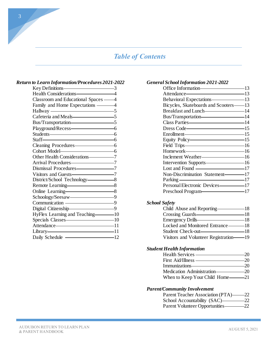# *Table of Contents*

#### *Return to Learn Information/Procedures 2021-2022*

| Classroom and Educational Spaces ——4 |  |
|--------------------------------------|--|
| Family and Home Expectations ———4    |  |
| Hallway 5                            |  |
| Cafeteria and Meals———————————5      |  |
| Bus/Transportation-55                |  |
| Playground/Recess-6                  |  |
|                                      |  |
| $Staff$ 6                            |  |
| Cleaning Procedures-6                |  |
| Cohort Model 6                       |  |
|                                      |  |
| Arrival Procedures 27                |  |
| Dismissal Procedures-77              |  |
|                                      |  |
| District/School Technology-8         |  |
| Remote Learning 8                    |  |
| Online Learning 8                    |  |
|                                      |  |
| Communication — 9                    |  |
| Digital Citizenship<br>9             |  |
| HyFlex Learning and Teaching-10      |  |
| Specials Classes—————————————10      |  |
| Attendance————————————————————11     |  |
| Library 11                           |  |
| Daily Schedule - 12                  |  |

#### *General School Information 2021-2022*

| Office Information———————————————————— | -13 |
|----------------------------------------|-----|
| Attendance—————————————13              |     |
| Behavioral Expectations 13             |     |
| Bicycles, Skateboards and Scooters——13 |     |
| Breakfast and Lunch<br>14              |     |
| Bus/Transportation-14                  |     |
| Class Parties 214                      |     |
| Dress Code———————————15                |     |
| Enrollment————————————————————15       |     |
| Equity Policy———————————15             |     |
| Field Trips————————————16              |     |
| Homework-16                            |     |
| Inclement Weather-16                   |     |
| Intervention Supports-16               |     |
|                                        |     |
| Non-Discrimination Statement-17        |     |
| Parking 17                             |     |
| Personal Electronic Devices——————17    |     |
| Preschool Program                      |     |
|                                        |     |

#### *School Safety*

| Child Abuse and Reporting-             | -18 |
|----------------------------------------|-----|
| Crossing Guards-                       | -18 |
| Emergency Drills-                      | -18 |
| Locked and Monitored Entrance———18     |     |
| Student Check-out-                     | -18 |
| Visitors and Volunteer Registration-19 |     |

#### *Student Health Information*

|                                   | 20  |
|-----------------------------------|-----|
| First Aid/Illness —               | -20 |
| Immunizations-                    | -20 |
| Medication Administration         | -20 |
| When to Keep Your Child Home———21 |     |

#### *Parent/Community Involvement*

| Parent Teacher Association (PTA)-      | -22   |
|----------------------------------------|-------|
| School Accountability (SAC)-           | -22   |
| <b>Parent Volunteer Opportunities-</b> | $-22$ |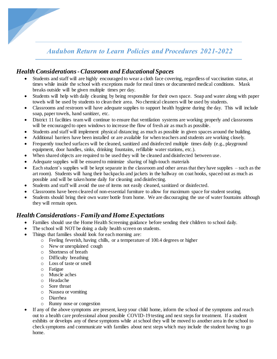# *Audubon Return to Learn Policies and Procedures 2021-2022*

#### *Health Considerations -Classroom and Educational Spaces*

- Students and staff will are highly encouraged to wear a cloth face covering, regardless of vaccination status, at times while inside the school with exceptions made for meal times or documented medical conditions. Mask breaks outside will be given multiple times per day.
- Students will help with daily cleaning by being responsible for their own space. Soap and water along with paper towels will be used by students to clean their area. No chemical cleaners will be used by students.
- Classrooms and restroom will have adequate supplies to support health hygiene during the day. This will include soap, paper towels, hand sanitizer, etc.
- District 11 facilities team will continue to ensure that ventilation systems are working properly and classrooms will be encouraged to open windows to increase the flow of fresh air as much as possible.
- Students and staff will implement physical distancing as much as possible in given spaces around the building.
- Additional barriers have been installed or are available for when teachers and students are working closely.
- Frequently touched surfaces will be cleaned, sanitized and disinfected multiple times daily (e.g., playground equipment, door handles, sinks, drinking fountains, refillable water stations, etc.).
- When shared objects are required to be used they will be cleaned and disinfected between use.
- Adequate supplies will be ensured to minimize sharing of high-touch materials
- Each student's supplies will be kept separate in the classroom and other areas that they have supplies such as the art room). Students will hang their backpacks and jackets in the hallway on coat hooks, spaced out as much as possible and will be taken home daily for cleaning and disinfecting.
- Students and staff will avoid the use of items not easily cleaned, sanitized or disinfected.
- Classrooms have been cleared of non-essential furniture to allow for maximum space for student seating.
- Students should bring their own water bottle from home. We are discouraging the use of water fountains although they will remain open.

#### *Health Considerations -Family and Home Expectations*

- Families should use the Home Health Screening guidance before sending their children to school daily.
- The school will NOT be doing a daily health screen on students.
- Things that families should look for each morning are:
	- o Feeling feverish, having chills, or a temperature of 100.4 degrees or higher
	- o New or unexplained cough
	- o Shortness of breath
	- o Difficulty breathing
	- o Loss of taste or smell
	- o Fatigue
	- o Muscle aches
	- o Headache
	- o Sore throat
	- o Nausea or vomiting
	- o Diarrhea
	- o Runny nose or congestion
- If any of the above symptoms are present, keep your child home, inform the school of the symptoms and reach out to a health care professional about possible COVID-19 testing and next steps for treatment. If a student exhibits or develops any of these symptoms while at school they will be moved to another area in the school to check symptoms and communicate with families about next steps which may include the student having to go home.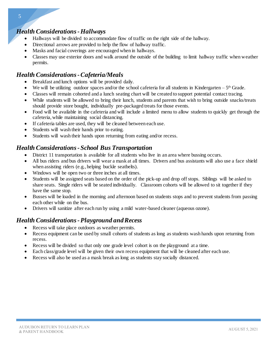#### *Health Considerations -Hallways*

- Hallways will be divided to accommodate flow of traffic on the right side of the hallway.
- Directional arrows are provided to help the flow of hallway traffic.
- Masks and facial coverings are encouraged when in hallways.
- Classes may use exterior doors and walk around the outside of the building to limit hallway traffic when weather permits.

## *Health Considerations -Cafeteria/Meals*

- Breakfast and lunch options will be provided daily.
- We will be utilizing outdoor spaces and/or the school cafeteria for all students in Kindergarten  $-5<sup>th</sup>$  Grade.
- Classes will remain cohorted and a lunch seating chart will be created to support potential contact tracing.
- While students will be allowed to bring their lunch, students and parents that wish to bring outside snacks/treats should provide store bought, individually pre-packaged treats for those events.
- Food will be available in the cafeteria and will include a limited menu to allow students to quickly get through the cafeteria, while maintaining social distancing.
- If cafeteria tables are used, they will be cleaned between each use.
- Students will wash their hands prior to eating.
- Students will wash their hands upon returning from eating and/or recess.

## *Health Considerations - School Bus Transportation*

- District 11 transportation is available for all students who live in an area where bussing occurs.
- All bus riders and bus drivers will wear a mask at all times. Drivers and bus assistants will also use a face shield when assisting riders (e.g., helping buckle seatbelts).
- Windows will be open two or three inches at all times.
- Students will be assigned seats based on the order of the pick-up and drop off stops. Siblings will be asked to share seats. Single riders will be seated individually. Classroom cohorts will be allowed to sit together if they have the same stop.
- Busses will be loaded in the morning and afternoon based on students stops and to prevent students from passing each other while on the bus.
- Drivers will sanitize after each run by using a mild water-based cleaner (aqueous ozone).

## *Health Considerations -Playground and Recess*

- Recess will take place outdoors as weather permits.
- Recess equipment can be used by small cohorts of students as long as students wash hands upon returning from recess.
- Recess will be divided so that only one grade level cohort is on the playground at a time.
- Each class/grade level will be given their own recess equipment that will be cleaned after each use.
- Recess will also be used as a mask break as long as students stay socially distanced.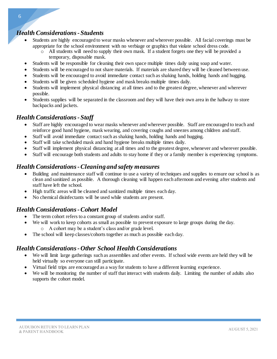#### *Health Considerations - Students*

- Students are highly encouraged to wear masks whenever and wherever possible. All facial coverings must be appropriate for the school environment with no verbiage or graphics that violate school dress code.
	- o All students will need to supply their own mask. If a student forgets one they will be provided a temporary, disposable mask.
- Students will be responsible for cleaning their own space multiple times daily using soap and water.
- Students will be encouraged to not share materials. If materials are shared they will be cleaned between use.
- Students will be encouraged to avoid immediate contact such as shaking hands, holding hands and hugging.
- Students will be given scheduled hygiene and mask breaks multiple times daily.
- Students will implement physical distancing at all times and to the greatest degree, whenever and wherever possible.
- Students supplies will be separated in the classroom and they will have their own area in the hallway to store backpacks and jackets.

#### *Health Considerations - Staff*

- Staff are highly encouraged to wear masks whenever and wherever possible. Staff are encouraged to teach and reinforce good hand hygiene, mask wearing, and covering coughs and sneezes among children and staff.
- Staff will avoid immediate contact such as shaking hands, holding hands and hugging.
- Staff will take scheduled mask and hand hygiene breaks multiple times daily.
- Staff will implement physical distancing at all times and to the greatest degree, whenever and wherever possible.
- Staff will encourage both students and adults to stay home if they or a family member is experiencing symptoms.

#### *Health Considerations -Cleaning and safety measures*

- Building and maintenance staff will continue to use a variety of techniques and supplies to ensure our school is as clean and sanitized as possible. A thorough cleaning will happen each afternoon and evening after students and staff have left the school.
- High traffic areas will be cleaned and sanitized multiple times each day.
- No chemical disinfectants will be used while students are present.

#### *Health Considerations -Cohort Model*

- The term cohort refers to a constant group of students and/or staff.
- We will work to keep cohorts as small as possible to prevent exposure to large groups during the day. o A cohort may be a student's class and/or grade level.
- The school will keep classes/cohorts together as much as possible each day.

#### *Health Considerations -Other School Health Considerations*

- We will limit large gatherings such as assemblies and other events. If school wide events are held they will be held virtually so everyone can still participate.
- Virtual field trips are encouraged as a way for students to have a different learning experience.
- We will be monitoring the number of staff that interact with students daily. Limiting the number of adults also supports the cohort model.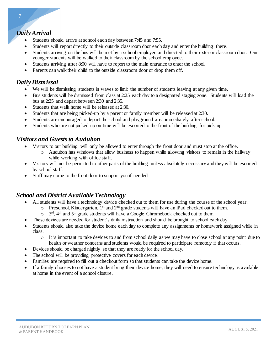## *Daily Arrival*

- Students should arrive at school each day between 7:45 and 7:55.
- Students will report directly to their outside classroom door each day and enter the building there.
- Students arriving on the bus will be met by a school employee and directed to their exterior classroom door. Our younger students will be walked to their classroom by the school employee.
- Students arriving after 8:00 will have to report to the main entrance to enter the school.
- Parents can walk their child to the outside classroom door or drop them off.

#### *Daily Dismissal*

- We will be dismissing students in waves to limit the number of students leaving at any given time.
- Bus students will be dismissed from class at 2:25 each day to a designated staging zone. Students will load the bus at 2:25 and depart between 2:30 and 2:35.
- Students that walk home will be released at 2:30.
- Students that are being picked-up by a parent or family member will be released at 2:30.
- Students are encouraged to depart the school and playground area immediately after school.
- Students who are not picked up on time will be escorted to the front of the building for pick-up.

#### *Visitors and Guests to Audubon*

- Visitors to our building will only be allowed to enter through the front door and must stop at the office.
	- $\circ$  Audubon has windows that allow business to happen while allowing visitors to remain in the hallway while working with office staff.
- Visitors will not be permitted to other parts of the building unless absolutely necessary and they will be escorted by school staff.
- Staff may come to the front door to support you if needed.

#### *School and District Available Technology*

- All students will have a technology device checked out to them for use during the course of the school year.
	- o Preschool, Kindergarten, 1st and 2nd grade students will have an iPad checked out to them.
	- $\circ$  3<sup>rd</sup>, 4<sup>th</sup> and 5<sup>th</sup> grade students will have a Google Chromebook checked out to them.
- These devices are needed for student's daily instruction and should be brought to school each day.
- Students should also take the device home each day to complete any assignments or homework assigned while in class.
	- $\circ$  It is important to take devices to and from school daily as we may have to close school at any point due to health or weather concerns and students would be required to participate remotely if that occurs.
- Devices should be charged nightly so that they are ready for the school day.
- The school will be providing protective covers for each device.
- Families are required to fill out a checkout form so that students can take the device home.
- If a family chooses to not have a student bring their device home, they will need to ensure technology is available at home in the event of a school closure.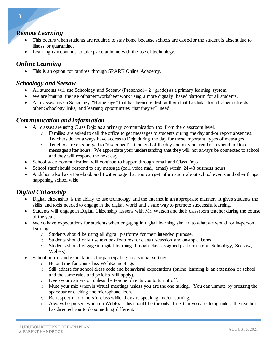#### *Remote Learning*

- This occurs when students are required to stay home because schools are closed or the student is absent due to illness or quarantine.
- Learning can continue to take place at home with the use of technology.

## *Online Learning*

This is an option for families through SPARK Online Academy.

#### *Schoology and Seesaw*

- All students will use Schoology and Seesaw (Preschool  $2<sup>nd</sup>$  grade) as a primary learning system.
- We are limiting the use of paper/worksheet work using a more digitally based platform for all students.
- All classes have a Schoology "Homepage" that has been created for them that has links for all other subjects, other Schoology links, and learning opportunities that they will need.

#### *Communication and Information*

- All classes are using Class Dojo as a primary communication tool from the classroom level.
	- o Families are asked to call the office to get messages to students during the day and/or report absences. Teachers do not always have access to Dojo during the day for those important types of messages.
	- o Teachers are encouraged to "disconnect" at the end of the day and may not read or respond to Dojo messages after hours. We appreciate your understanding that they will not always be connected to school and they will respond the next day.
- School wide communication will continue to happen through email and Class Dojo.
- School staff should respond to any message (call, voice mail, email) within 24-48 business hours.
- Audubon also has a Facebook and Twitter page that you can get information about school events and other things happening school wide.

## *Digital Citizenship*

- Digital citizenship is the ability to use technology and the internet in an appropriate manner. It gives students the skills and tools needed to engage in the digital world and a safe way to promote successful learning.
- Students will engage in Digital Citizenship lessons with Mr. Watson and their classroom teacher during the course of the year.
- We do have expectations for students when engaging in digital learning similar to what we would for in-person learning:
	- o Students should be using all digital platforms for their intended purpose.
	- o Students should only use text box features for class discussion and on-topic items.
	- o Students should engage in digital learning through class assigned platforms (e.g., Schoology, Seesaw, WebEx).
- School norms and expectations for participating in a virtual setting:
	- o Be on time for your class WebEx meetings
	- o Still adhere for school dress code and behavioral expectations (online learning is an extension of school and the same rules and policies still apply).
	- o Keep your camera on unless the teacher directs you to turn it off.
	- o Mute your mic when in virtual meetings unless you are the one talking. You can unmute by pressing the spacebar or clicking the microphone icon.
	- o Be respectful to others in class while they are speaking and/or learning.
	- $\circ$  Always be present when on WebEx this should be the only thing that you are doing unless the teacher has directed you to do something different.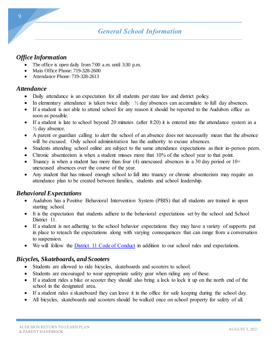# *General School Information*

#### *Office Information*

- The office is open daily from 7:00 a.m. until 3:30 p.m.
- Main Office Phone: 719-328-2600
- Attendance Phone: 719-328-2613

#### *Attendance*

- Daily attendance is an expectation for all students per state law and district policy.
- In elementary attendance is taken twice daily.  $\frac{1}{2}$  day absences can accumulate to full day absences.
- If a student is not able to attend school for any reason it should be reported to the Audubon office as soon as possible.
- If a student is late to school beyond 20 minutes (after 8:20) it is entered into the attendance system as a ½ day absence.
- A parent or guardian calling to alert the school of an absence does not necessarily mean that the absence will be excused. Only school administration has the authority to excuse absences.
- Students attending school online are subject to the same attendance expectations as their in-person peers.
- Chronic absenteeism is when a student misses more that 10% of the school year to that point.
- Truancy is when a student has more than four (4) unexcused absences in a 30 day period or  $10+$ unexcused absences over the course of the year.
- Any student that has missed enough school to fall into truancy or chronic absenteeism may require an attendance plan to be created between families, students and school leadership.

#### *Behavioral Expectations*

- Audubon has a Positive Behavioral Intervention System (PBIS) that all students are trained in upon starting school.
- It is the expectation that students adhere to the behavioral expectations set by the school and School District 11.
- If a student is not adhering to the school behavior expectations they may have a variety of supports put in place to reteach the expectations along with varying consequences that can range from a conversation to suspension.
- We will follow the *District* 11 Code of Conduct in addition to our school rules and expectations.

#### *Bicycles, Skateboards, and Scooters*

- Students are allowed to ride bicycles, skateboards and scooters to school.
- Students are encouraged to wear appropriate safety gear when riding any of these.
- If a student rides a bike or scooter they should also bring a lock to lock it up on the north end of the school in the designated area.
- If a student rides a skateboard they can leave it in the office for safe keeping during the school day.
- All bicycles, skateboards and scooters should be walked once on school property for safety of all.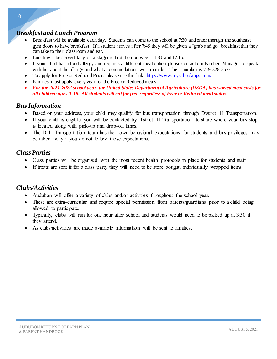#### *Breakfast and Lunch Program*

- Breakfast will be available each day. Students can come to the school at 7:30 and enter thorugh the southeast gym doors to have breakfast. If a student arrives after 7:45 they will be given a "grab and go" breakfast that they can take to their classroom and eat.
- Lunch will be served daily on a staggered rotation between 11:30 and 12:15.
- If your child has a food allergy and requires a different meal option please contact our Kitchen Manager to speak with her about the allergy and what accommodations we can make. Their number is 719-328-2532.
- To apply for Free or Reduced Prices please use this link: <https://www.myschoolapps.com/>
- Families must apply every year for the Free or Reduced meals
- *For the 2021-2022 school year, the United States Department of Agriculture (USDA) has waived meal costs for all children ages 0-18. All students will eat for free regardless of Free or Reduced meal status.*

#### *Bus Information*

- Based on your address, your child may qualify for bus transportation through District 11 Transportation.
- If your child is eligible you will be contacted by District 11 Transportation to share where your bus stop is located along with pick-up and drop-off times.
- The D-11 Transportation team has their own behavioral expectations for students and bus privileges may be taken away if you do not follow those expectations.

#### *Class Parties*

- Class parties will be organized with the most recent health protocols in place for students and staff.
- If treats are sent if for a class party they will need to be store bought, individually wrapped items.

#### *Clubs/Activities*

- Audubon will offer a variety of clubs and/or activities throughout the school year.
- These are extra-curricular and require special permission from parents/guardians prior to a child being allowed to participate.
- Typically, clubs will run for one hour after school and students would need to be picked up at 3:30 if they attend.
- As clubs/activities are made available information will be sent to families.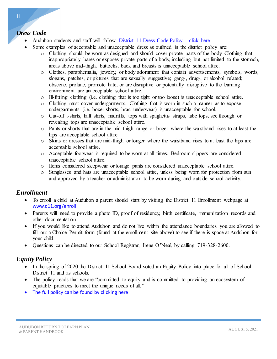## *Dress Code*

- Audubon students and staff will follow [District 11 Dress Code Policy –](https://www.d11.org/cms/lib/CO02201641/Centricity/domain/69/SectionJ/JICA.pdf) click here
- Some examples of acceptable and unacceptable dress as outlined in the district policy are:
	- o Clothing should be worn as designed and should cover private parts of the body. Clothing that inappropriately bares or exposes private parts of a body, including but not limited to the stomach, areas above mid-thigh, buttocks, back and breasts is unacceptable school attire.
	- o Clothes, paraphernalia, jewelry, or body adornment that contain advertisements, symbols, words, slogans, patches, or pictures that are sexually suggestive; gang-, drug-, or alcohol related; obscene, profane, promote hate, or are disruptive or potentially disruptive to the learning environment are unacceptable school attire.
	- o Ill-fitting clothing (i.e. clothing that is too tight or too loose) is unacceptable school attire.
	- o Clothing must cover undergarments. Clothing that is worn in such a manner as to expose undergarments (i.e. boxer shorts, bras, underwear) is unacceptable for school.
	- o Cut-off t-shirts, half shirts, midriffs, tops with spaghettis straps, tube tops, see through or revealing tops are unacceptable school attire.
	- o Pants or shorts that are in the mid-thigh range or longer where the waistband rises to at least the hips are acceptable school attire
	- o Skirts or dresses that are mid-thigh or longer where the waistband rises to at least the hips are acceptable school attire.
	- o Acceptable footwear is required to be worn at all times. Bedroom slippers are considered unacceptable school attire.
	- o Items considered sleepwear or lounge pants are considered unacceptable school attire.
	- o Sunglasses and hats are unacceptable school attire, unless being worn for protection from sun and approved by a teacher or administrator to be worn during and outside school activity.

## *Enrollment*

- To enroll a child at Audubon a parent should start by visiting the District 11 Enrollment webpage at [www.d11.org/enroll](http://www.d11.org/enroll)
- Parents will need to provide a photo ID, proof of residency, birth certificate, immunization records and other documentation.
- If you would like to attend Audubon and do not live within the attendance boundaries you are allowed to fill out a Choice Permit form (found at the enrollment site above) to see if there is space at Audubon for your child.
- Questions can be directed to our School Registrar, Irene O'Neal, by calling 719-328-2600.

## *Equity Policy*

- In the spring of 2020 the District 11 School Board voted an Equity Policy into place for all of School District 11 and its schools.
- The policy reads that we are "committed to equity and is committed to providing an ecosystem of equitable practices to meet the unique needs of all."
- [The full policy can be found by clicking here](https://www.d11.org/cms/lib/CO02201641/Centricity/Domain/69/SectionA/AG%20adopted%205.27.20.pdf)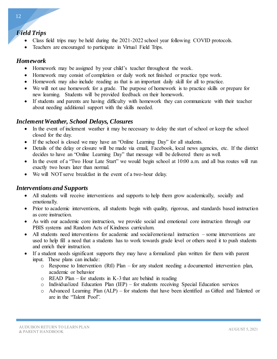#### *Field Trips*

- Class field trips may be held during the 2021-2022 school year following COVID protocols.
- Teachers are encouraged to participate in Virtual Field Trips.

#### *Homework*

- Homework may be assigned by your child's teacher throughout the week.
- Homework may consist of completion or daily work not finished or practice type work.
- Homework may also include reading as that is an important daily skill for all to practice.
- We will not use homework for a grade. The purpose of homework is to practice skills or prepare for new learning. Students will be provided feedback on their homework.
- If students and parents are having difficulty with homework they can communicate with their teacher about needing additional support with the skills needed.

#### *Inclement Weather, School Delays, Closures*

- In the event of inclement weather it may be necessary to delay the start of school or keep the school closed for the day.
- If the school is closed we may have an "Online Learning Day" for all students.
- Details of the delay or closure will be made via email, Facebook, local news agencies, etc. If the district decides to have an "Online Learning Day" that message will be delivered there as well.
- In the event of a "Two Hour Late Start" we would begin school at 10:00 a.m. and all bus routes will run exactly two hours later than normal.
- We will NOT serve breakfast in the event of a two-hour delay.

#### *Interventions and Supports*

- All students will receive interventions and supports to help them grow academically, socially and emotionally.
- Prior to academic interventions, all students begin with quality, rigorous, and standards based instruction as core instruction.
- As with our academic core instruction, we provide social and emotional core instruction through our PBIS systems and Random Acts of Kindness curriculum.
- All students need interventions for academic and social/emotional instruction some interventions are used to help fill a need that a students has to work towards grade level or others need it to push students and enrich their instruction.
- If a student needs significant supports they may have a formalized plan written for them with parent input. These plans can include:
	- o Response to Intervention (RtI) Plan for any student needing a documented intervention plan, academic or behavior
	- $\circ$  READ Plan for students in K-3 that are behind in reading
	- o Individualized Education Plan (IEP) for students receiving Special Education services
	- o Advanced Learning Plan (ALP) for students that have been identified as Gifted and Talented or are in the "Talent Pool".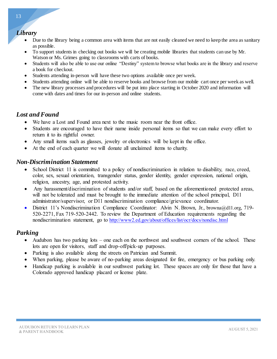#### *Library*

- Due to the library being a common area with items that are not easily cleaned we need to keep the area as sanitary as possible.
- To support students in checking out books we will be creating mobile libraries that students can use by Mr. Watson or Ms. Grimes going to classrooms with carts of books.
- Students will also be able to use our online "Destiny" system to browse what books are in the library and reserve a book for checkout.
- Students attending in-person will have these two options available once per week.
- Students attending online will be able to reserve books and browse from our mobile cart once per week as well.
- The new library processes and procedures will be put into place starting in October 2020 and information will come with dates and times for our in-person and online students.

#### *Lost and Found*

- We have a Lost and Found area next to the music room near the front office.
- Students are encouraged to have their name inside personal items so that we can make every effort to return it to its rightful owner.
- Any small items such as glasses, jewelry or electronics will be kept in the office.
- At the end of each quarter we will donate all unclaimed items to charity.

#### *Non-Discrimination Statement*

- School District 11 is committed to a policy of nondiscrimination in relation to disability, race, creed, color, sex, sexual orientation, transgender status, gender identity, gender expression, national origin, religion, ancestry, age, and protested activity.
- Any harassment/discrimination of students and/or staff, based on the aforementioned protected areas, will not be tolerated and must be brought to the immediate attention of the school principal, D11 administrator/supervisor, or D11 nondiscrimination compliance/grievance coordinator.
- District 11's Nondiscrimination Compliance Coordinator: Alvin N. Brown, Jr., [browna@d11.org](mailto:browna@d11.org), 719- 520-2271, Fax 719-520-2442. To review the Department of Education requirements regarding the nondiscrimination statement, go to <http://www2.ed.gov/about/offices/list/ocr/docs/nondisc.html>

#### *Parking*

- Audubon has two parking lots one each on the northwest and southwest corners of the school. These lots are open for visitors, staff and drop-off/pick-up purposes.
- Parking is also available along the streets on Patrician and Summit.
- When parking, please be aware of no-parking areas designated for fire, emergency or bus parking only.
- Handicap parking is available in our southwest parking lot. These spaces are only for those that have a Colorado approved handicap placard or license plate.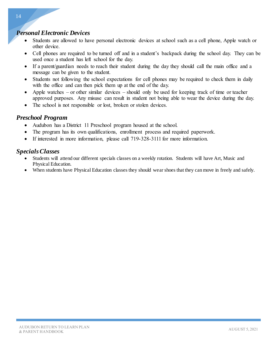#### *Personal Electronic Devices*

- Students are allowed to have personal electronic devices at school such as a cell phone, Apple watch or other device.
- Cell phones are required to be turned off and in a student's backpack during the school day. They can be used once a student has left school for the day.
- If a parent/guardian needs to reach their student during the day they should call the main office and a message can be given to the student.
- Students not following the school expectations for cell phones may be required to check them in daily with the office and can then pick them up at the end of the day.
- Apple watches or other similar devices should only be used for keeping track of time or teacher approved purposes. Any misuse can result in student not being able to wear the device during the day.
- The school is not responsible or lost, broken or stolen devices.

#### *Preschool Program*

- Audubon has a District 11 Preschool program housed at the school.
- The program has its own qualifications, enrollment process and required paperwork.
- If interested in more information, please call 719-328-3111 for more information.

#### *Specials Classes*

- Students will attend our different specials classes on a weekly rotation. Students will have Art, Music and Physical Education.
- When students have Physical Education classes they should wear shoes that they can move in freely and safely.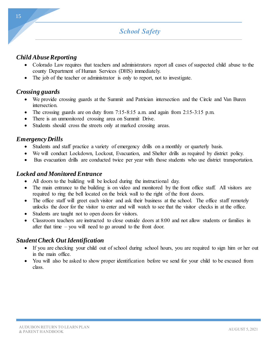#### *Child Abuse Reporting*

- Colorado Law requires that teachers and administrators report all cases of suspected child abuse to the county Department of Human Services (DHS) immediately.
- The job of the teacher or administrator is only to report, not to investigate.

#### *Crossing guards*

- We provide crossing guards at the Summit and Patrician intersection and the Circle and Van Buren intersection.
- The crossing guards are on duty from 7:15-8:15 a.m. and again from 2:15-3:15 p.m.
- There is an unmonitored crossing area on Summit Drive.
- Students should cross the streets only at marked crossing areas.

## *Emergency Drills*

- Students and staff practice a variety of emergency drills on a monthly or quarterly basis.
- We will conduct Lockdown, Lockout, Evacuation, and Shelter drills as required by district policy.
- Bus evacuation drills are conducted twice per year with those students who use district transportation.

#### *Locked and Monitored Entrance*

- All doors to the building will be locked during the instructional day.
- The main entrance to the building is on video and monitored by the front office staff. All visitors are required to ring the bell located on the brick wall to the right of the front doors.
- The office staff will greet each visitor and ask their business at the school. The office staff remotely unlocks the door for the visitor to enter and will watch to see that the visitor checks in at the office.
- Students are taught not to open doors for visitors.
- Classroom teachers are instructed to close outside doors at 8:00 and not allow students or families in after that time – you will need to go around to the front door.

#### *Student Check Out Identification*

- If you are checking your child out of school during school hours, you are required to sign him or her out in the main office.
- You will also be asked to show proper identification before we send for your child to be excused from class.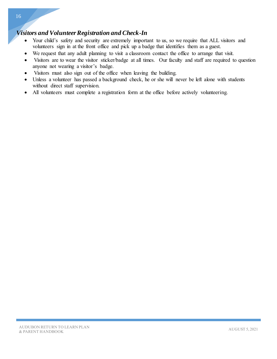## *Visitors and Volunteer Registration and Check-In*

- Your child's safety and security are extremely important to us, so we require that ALL visitors and volunteers sign in at the front office and pick up a badge that identifies them as a guest.
- We request that any adult planning to visit a classroom contact the office to arrange that visit.
- Visitors are to wear the visitor sticker/badge at all times. Our faculty and staff are required to question anyone not wearing a visitor's badge.
- Visitors must also sign out of the office when leaving the building.
- Unless a volunteer has passed a background check, he or she will never be left alone with students without direct staff supervision.
- All volunteers must complete a registration form at the office before actively volunteering.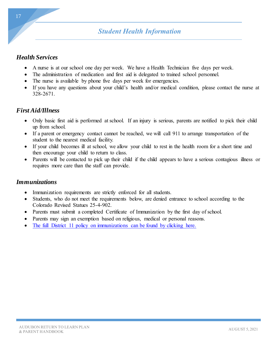# *Student Health Information*

#### *Health Services*

- A nurse is at our school one day per week. We have a Health Technician five days per week.
- The administration of medication and first aid is delegated to trained school personnel.
- The nurse is available by phone five days per week for emergencies.
- If you have any questions about your child's health and/or medical condition, please contact the nurse at 328-2671.

## *First Aid/Illness*

- Only basic first aid is performed at school. If an injury is serious, parents are notified to pick their child up from school.
- If a parent or emergency contact cannot be reached, we will call 911 to arrange transportation of the student to the nearest medical facility.
- If your child becomes ill at school, we allow your child to rest in the health room for a short time and then encourage your child to return to class.
- Parents will be contacted to pick up their child if the child appears to have a serious contagious illness or requires more care than the staff can provide.

#### *Immunizations*

- Immunization requirements are strictly enforced for all students.
- Students, who do not meet the requirements below, are denied entrance to school according to the Colorado Revised Statues 25-4-902.
- Parents must submit a completed Certificate of Immunization by the first day of school.
- Parents may sign an exemption based on religious, medical or personal reasons.
- [The full District 11 policy on immunizations can be found by clicking here.](https://www.d11.org/cms/lib/CO02201641/Centricity/domain/69/SectionJ/JLCB.pdf)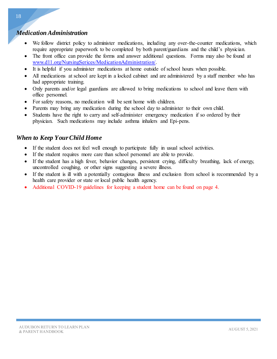#### *Medication Administration*

- We follow district policy to administer medications, including any over-the-counter medications, which require appropriate paperwork to be completed by both parent/guardians and the child's physician.
- The front office can provide the forms and answer additional questions. Forms may also be found at [www.d11.org/NursingSerices/MedicationAdministration/.](http://www.d11.org/NursingSerices/MedicationAdministration/)
- It is helpful if you administer medications at home outside of school hours when possible.
- All medications at school are kept in a locked cabinet and are administered by a staff member who has had appropriate training.
- Only parents and/or legal guardians are allowed to bring medications to school and leave them with office personnel.
- For safety reasons, no medication will be sent home with children.
- Parents may bring any medication during the school day to administer to their own child.
- Students have the right to carry and self-administer emergency medication if so ordered by their physician. Such medications may include asthma inhalers and Epi-pens.

## *When to Keep Your Child Home*

- If the student does not feel well enough to participate fully in usual school activities.
- If the student requires more care than school personnel are able to provide.
- If the student has a high fever, behavior changes, persistent crying, difficulty breathing, lack of energy, uncontrolled coughing, or other signs suggesting a severe illness.
- If the student is ill with a potentially contagious illness and exclusion from school is recommended by a health care provider or state or local public health agency.
- Additional COVID-19 guidelines for keeping a student home can be found on page 4.